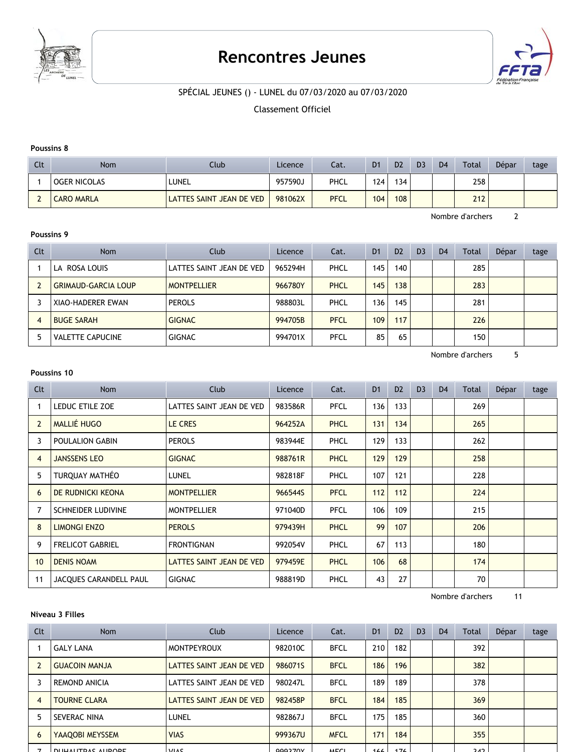

# **Rencontres Jeunes**



# SPÉCIAL JEUNES () - LUNEL du 07/03/2020 au 07/03/2020

Classement Officiel

#### **Poussins 8**

| Clt | Nom               | Club                     | Licence | Cat.        | D <sub>1</sub> | D <sub>2</sub> | D <sub>3</sub> | D <sub>4</sub> | Total | Dépar | tage |
|-----|-------------------|--------------------------|---------|-------------|----------------|----------------|----------------|----------------|-------|-------|------|
|     | OGER NICOLAS      | 'LUNEL                   | 957590J | PHCL        | 124            | 134            |                |                | 258   |       |      |
|     | <b>CARO MARLA</b> | LATTES SAINT JEAN DE VED | 981062X | <b>PFCL</b> | 104            | 108            |                |                | 212   |       |      |

Nombre d'archers 2

# **Poussins 9**

| Clt            | <b>Nom</b>                 | Club                     | Licence | Cat.        | D <sub>1</sub> | D <sub>2</sub> | D <sub>3</sub> | D <sub>4</sub> | Total | Dépar | tage |
|----------------|----------------------------|--------------------------|---------|-------------|----------------|----------------|----------------|----------------|-------|-------|------|
|                | LA ROSA LOUIS              | LATTES SAINT JEAN DE VED | 965294H | PHCL        | 145            | 140            |                |                | 285   |       |      |
|                | <b>GRIMAUD-GARCIA LOUP</b> | <b>MONTPELLIER</b>       | 966780Y | PHCL        | 145            | 138            |                |                | 283   |       |      |
|                | XIAO-HADERER EWAN          | <b>PEROLS</b>            | 988803L | PHCL        | 136            | 145            |                |                | 281   |       |      |
| $\overline{4}$ | <b>BUGE SARAH</b>          | <b>GIGNAC</b>            | 994705B | <b>PFCL</b> | 109            | 117            |                |                | 226   |       |      |
|                | <b>VALETTE CAPUCINE</b>    | <b>GIGNAC</b>            | 994701X | PFCL        | 85             | 65             |                |                | 150   |       |      |

Nombre d'archers 5

#### **Poussins 10**

Clt Nom Club Licence Cat. D1 D2 D3 D4 Total DÈpar tage 1 LEDUC ETILE ZOE LATTES SAINT JEAN DE VED 983586R PFCL 136 133 | 269 2 MALLI… HUGO LE CRES 964252A PHCL 131 134 265 3 POULALION GABIN PEROLS 983944E PHCL 129 133 262 4 JANSSENS LEO GIGNAC 988761R PHCL 129 129 258 5 TURQUAY MATHÉO LUNEL 982818F 107 121 228 6 DE RUDNICKI KEONA MONTPELLIER 966544S PFCL 112 112 224 7 SCHNEIDER LUDIVINE MONTPELLIER 971040D PFCL 106 109 215 8 LIMONGI ENZO PEROLS 9979439H PHCL 99 107 206 9 FRELICOT GABRIEL FRONTIGNAN 992054V PHCL 67 113 130 10 DENIS NOAM LATTES SAINT JEAN DE VED 979459E PHCL 106 68 1 11 JACQUES CARANDELL PAUL GIGNAC 70 988819D PHCL 43 27

Nombre d'archers 11

#### **Niveau 3 Filles**

| Clt            | Nom                      | Club                     | Licence | Cat.         | D <sub>1</sub> | D <sub>2</sub> | D <sub>3</sub> | D <sub>4</sub> | Total | Dépar | tage |
|----------------|--------------------------|--------------------------|---------|--------------|----------------|----------------|----------------|----------------|-------|-------|------|
|                | <b>GALY LANA</b>         | <b>MONTPEYROUX</b>       | 982010C | <b>BFCL</b>  | 210            | 182            |                |                | 392   |       |      |
|                | <b>GUACOIN MANJA</b>     | LATTES SAINT JEAN DE VED | 986071S | <b>BFCL</b>  | 186            | 196            |                |                | 382   |       |      |
| 3              | <b>REMOND ANICIA</b>     | LATTES SAINT JEAN DE VED | 980247L | <b>BFCL</b>  | 189            | 189            |                |                | 378   |       |      |
| $\overline{4}$ | <b>TOURNE CLARA</b>      | LATTES SAINT JEAN DE VED | 982458P | <b>BFCL</b>  | 184            | 185            |                |                | 369   |       |      |
| 5              | SEVERAC NINA             | LUNEL                    | 982867J | <b>BFCL</b>  | 175            | 185            |                |                | 360   |       |      |
| 6              | YAAQOBI MEYSSEM          | <b>VIAS</b>              | 999367U | <b>MFCL</b>  | 171            | 184            |                |                | 355   |       |      |
|                | <b>DULLAUTDAC AUDODE</b> | MAC                      | 0002707 | <b>AACCI</b> | 166            | 176            |                |                | ר גר  |       |      |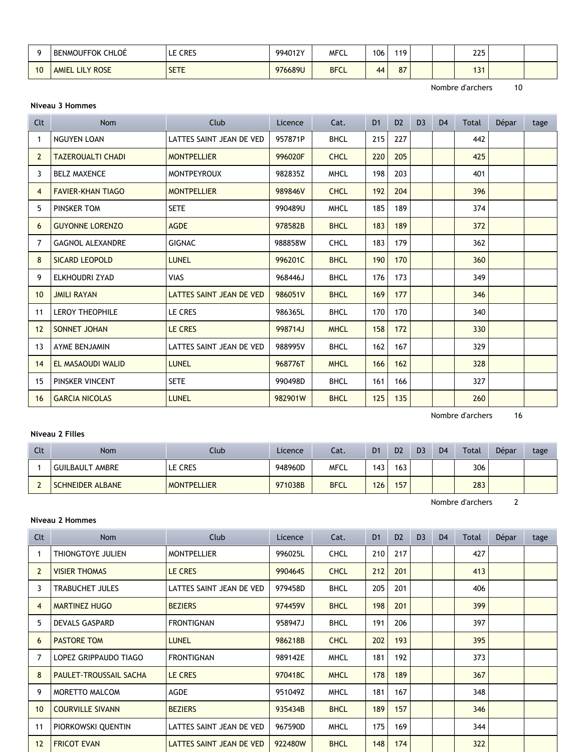| $\sim$ | <b>BENMOUFFOK CHLOÉ</b> | <b>CRES</b><br>ᄂ | 994012Y | <b>MFCL</b> | 106             | 110 |  | 225 |  |
|--------|-------------------------|------------------|---------|-------------|-----------------|-----|--|-----|--|
| 10     | AMIEL LILY ROSE         | <b>SETE</b><br>ᆚ | 976689U | <b>BFCL</b> | $\overline{44}$ | 87  |  | 131 |  |

Nombre d'archers 10

### **Niveau 3 Hommes**

| Clt            | <b>Nom</b>               | Club                     | Licence | Cat.        | D <sub>1</sub> | D <sub>2</sub> | D <sub>3</sub> | D <sub>4</sub> | Total | Dépar | tage |
|----------------|--------------------------|--------------------------|---------|-------------|----------------|----------------|----------------|----------------|-------|-------|------|
| -1             | <b>NGUYEN LOAN</b>       | LATTES SAINT JEAN DE VED | 957871P | <b>BHCL</b> | 215            | 227            |                |                | 442   |       |      |
| $\overline{2}$ | <b>TAZEROUALTI CHADI</b> | <b>MONTPELLIER</b>       | 996020F | <b>CHCL</b> | 220            | 205            |                |                | 425   |       |      |
| 3              | <b>BELZ MAXENCE</b>      | <b>MONTPEYROUX</b>       | 982835Z | <b>MHCL</b> | 198            | 203            |                |                | 401   |       |      |
| $\overline{4}$ | <b>FAVIER-KHAN TIAGO</b> | <b>MONTPELLIER</b>       | 989846V | <b>CHCL</b> | 192            | 204            |                |                | 396   |       |      |
| 5              | PINSKER TOM              | <b>SETE</b>              | 990489U | <b>MHCL</b> | 185            | 189            |                |                | 374   |       |      |
| 6              | <b>GUYONNE LORENZO</b>   | <b>AGDE</b>              | 978582B | <b>BHCL</b> | 183            | 189            |                |                | 372   |       |      |
| $\overline{7}$ | <b>GAGNOL ALEXANDRE</b>  | <b>GIGNAC</b>            | 988858W | <b>CHCL</b> | 183            | 179            |                |                | 362   |       |      |
| 8              | <b>SICARD LEOPOLD</b>    | <b>LUNEL</b>             | 996201C | <b>BHCL</b> | 190            | 170            |                |                | 360   |       |      |
| 9              | ELKHOUDRI ZYAD           | <b>VIAS</b>              | 968446J | <b>BHCL</b> | 176            | 173            |                |                | 349   |       |      |
| 10             | <b>JMILI RAYAN</b>       | LATTES SAINT JEAN DE VED | 986051V | <b>BHCL</b> | 169            | 177            |                |                | 346   |       |      |
| 11             | <b>LEROY THEOPHILE</b>   | LE CRES                  | 986365L | <b>BHCL</b> | 170            | 170            |                |                | 340   |       |      |
| 12             | SONNET JOHAN             | <b>LE CRES</b>           | 998714J | <b>MHCL</b> | 158            | 172            |                |                | 330   |       |      |
| 13             | AYME BENJAMIN            | LATTES SAINT JEAN DE VED | 988995V | <b>BHCL</b> | 162            | 167            |                |                | 329   |       |      |
| 14             | EL MASAOUDI WALID        | <b>LUNEL</b>             | 968776T | <b>MHCL</b> | 166            | 162            |                |                | 328   |       |      |
| 15             | PINSKER VINCENT          | <b>SETE</b>              | 990498D | <b>BHCL</b> | 161            | 166            |                |                | 327   |       |      |
| 16             | <b>GARCIA NICOLAS</b>    | <b>LUNEL</b>             | 982901W | <b>BHCL</b> | 125            | 135            |                |                | 260   |       |      |

Nombre d'archers 16

# **Niveau 2 Filles**

| Clt | Nom                     | Club <sup>-</sup>  | Licence | Cat.        | D <sub>1</sub> | D <sub>2</sub> | D <sub>3</sub> | D <sub>4</sub> | Total | Dépar | tage |
|-----|-------------------------|--------------------|---------|-------------|----------------|----------------|----------------|----------------|-------|-------|------|
|     | <b>GUILBAULT AMBRE</b>  | le Cres            | 948960D | <b>MFCL</b> | 143            | 163            |                |                | 306   |       |      |
|     | <b>SCHNEIDER ALBANE</b> | <b>MONTPELLIER</b> | 971038B | <b>BFCL</b> | 126            | 157            |                |                | 283   |       |      |

Nombre d'archers 2

# **Niveau 2 Hommes**

| Clt            | <b>Nom</b>                    | <b>Club</b>              | Licence | Cat.        | D <sub>1</sub> | D <sub>2</sub> | D <sub>3</sub> | D <sub>4</sub> | Total | Dépar | tage |
|----------------|-------------------------------|--------------------------|---------|-------------|----------------|----------------|----------------|----------------|-------|-------|------|
|                | THIONGTOYE JULIEN             | <b>MONTPELLIER</b>       | 996025L | <b>CHCL</b> | 210            | 217            |                |                | 427   |       |      |
| $\overline{2}$ | <b>VISIER THOMAS</b>          | LE CRES                  | 990464S | <b>CHCL</b> | 212            | 201            |                |                | 413   |       |      |
| 3              | <b>TRABUCHET JULES</b>        | LATTES SAINT JEAN DE VED | 979458D | <b>BHCL</b> | 205            | 201            |                |                | 406   |       |      |
| 4              | <b>MARTINEZ HUGO</b>          | <b>BEZIERS</b>           | 974459V | <b>BHCL</b> | 198            | 201            |                |                | 399   |       |      |
| 5              | DEVALS GASPARD                | <b>FRONTIGNAN</b>        | 958947J | <b>BHCL</b> | 191            | 206            |                |                | 397   |       |      |
| 6              | <b>PASTORE TOM</b>            | <b>LUNEL</b>             | 986218B | <b>CHCL</b> | 202            | 193            |                |                | 395   |       |      |
| 7              | LOPEZ GRIPPAUDO TIAGO         | <b>FRONTIGNAN</b>        | 989142E | <b>MHCL</b> | 181            | 192            |                |                | 373   |       |      |
| 8              | <b>PAULET-TROUSSAIL SACHA</b> | LE CRES                  | 970418C | <b>MHCL</b> | 178            | 189            |                |                | 367   |       |      |
| 9              | MORETTO MALCOM                | <b>AGDE</b>              | 951049Z | <b>MHCL</b> | 181            | 167            |                |                | 348   |       |      |
| 10             | <b>COURVILLE SIVANN</b>       | <b>BEZIERS</b>           | 935434B | <b>BHCL</b> | 189            | 157            |                |                | 346   |       |      |
| 11             | PIORKOWSKI QUENTIN            | LATTES SAINT JEAN DE VED | 967590D | <b>MHCL</b> | 175            | 169            |                |                | 344   |       |      |
| 12             | <b>FRICOT EVAN</b>            | LATTES SAINT JEAN DE VED | 922480W | <b>BHCL</b> | 148            | 174            |                |                | 322   |       |      |